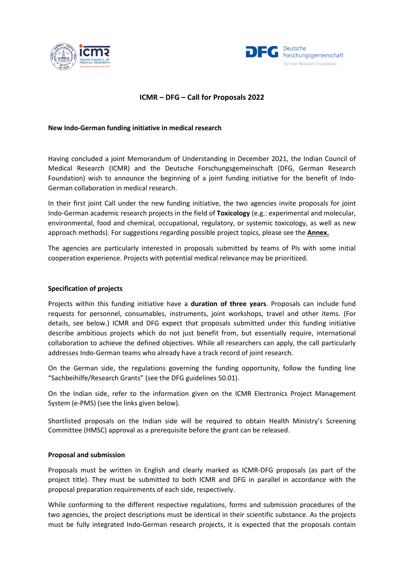



# **ICMR – DFG – Call for Proposals 2022**

### **New Indo-German funding initiative in medical research**

Having concluded a joint Memorandum of Understanding in December 2021, the Indian Council of Medical Research (ICMR) and the Deutsche Forschungsgemeinschaft (DFG, German Research Foundation) wish to announce the beginning of a joint funding initiative for the benefit of Indo-German collaboration in medical research.

In their first joint Call under the new funding initiative, the two agencies invite proposals for joint Indo-German academic research projects in the field of **Toxicology** (e.g.: experimental and molecular, environmental, food and chemical, occupational, regulatory, or systemic toxicology, as well as new approach methods). For suggestions regarding possible project topics, please see the **Annex.**

The agencies are particularly interested in proposals submitted by teams of PIs with some initial cooperation experience. Projects with potential medical relevance may be prioritized.

### **Specification of projects**

Projects within this funding initiative have a **duration of three years**. Proposals can include fund requests for personnel, consumables, instruments, joint workshops, travel and other items. (For details, see below.) ICMR and DFG expect that proposals submitted under this funding initiative describe ambitious projects which do not just benefit from, but essentially require, international collaboration to achieve the defined objectives. While all researchers can apply, the call particularly addresses Indo-German teams who already have a track record of joint research.

On the German side, the regulations governing the funding opportunity, follow the funding line "Sachbeihilfe/Research Grants" (see the DFG guidelines 50.01).

On the Indian side, refer to the information given on the ICMR Electronics Project Management System (e-PMS) (see the links given below).

Shortlisted proposals on the Indian side will be required to obtain Health Ministry's Screening Committee (HMSC) approval as a prerequisite before the grant can be released.

### **Proposal and submission**

Proposals must be written in English and clearly marked as ICMR-DFG proposals (as part of the project title). They must be submitted to both ICMR and DFG in parallel in accordance with the proposal preparation requirements of each side, respectively.

While conforming to the different respective regulations, forms and submission procedures of the two agencies, the project descriptions must be identical in their scientific substance. As the projects must be fully integrated Indo-German research projects, it is expected that the proposals contain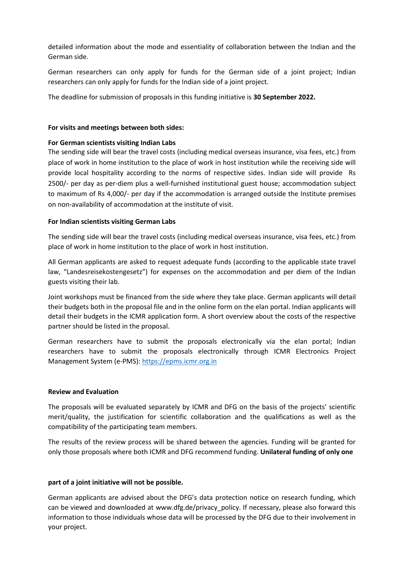detailed information about the mode and essentiality of collaboration between the Indian and the German side.

German researchers can only apply for funds for the German side of a joint project; Indian researchers can only apply for funds for the Indian side of a joint project.

The deadline for submission of proposals in this funding initiative is **30 September 2022.**

# **For visits and meetings between both sides:**

# **For German scientists visiting Indian Labs**

The sending side will bear the travel costs (including medical overseas insurance, visa fees, etc.) from place of work in home institution to the place of work in host institution while the receiving side will provide local hospitality according to the norms of respective sides. Indian side will provide Rs 2500/- per day as per-diem plus a well-furnished institutional guest house; accommodation subject to maximum of Rs 4,000/- per day if the accommodation is arranged outside the Institute premises on non-availability of accommodation at the institute of visit.

# **For Indian scientists visiting German Labs**

The sending side will bear the travel costs (including medical overseas insurance, visa fees, etc.) from place of work in home institution to the place of work in host institution.

All German applicants are asked to request adequate funds (according to the applicable state travel law, "Landesreisekostengesetz") for expenses on the accommodation and per diem of the Indian guests visiting their lab.

Joint workshops must be financed from the side where they take place. German applicants will detail their budgets both in the proposal file and in the online form on the elan portal. Indian applicants will detail their budgets in the ICMR application form. A short overview about the costs of the respective partner should be listed in the proposal.

German researchers have to submit the proposals electronically via the elan portal; Indian researchers have to submit the proposals electronically through ICMR Electronics Project Management System (e-PMS): [https://epms.icmr.org.in](https://epms.icmr.org.in/)

### **Review and Evaluation**

The proposals will be evaluated separately by ICMR and DFG on the basis of the projects' scientific merit/quality, the justification for scientific collaboration and the qualifications as well as the compatibility of the participating team members.

The results of the review process will be shared between the agencies. Funding will be granted for only those proposals where both ICMR and DFG recommend funding. **Unilateral funding of only one** 

### **part of a joint initiative will not be possible.**

German applicants are advised about the DFG's data protection notice on research funding, which can be viewed and downloaded at www.dfg.de/privacy\_policy. If necessary, please also forward this information to those individuals whose data will be processed by the DFG due to their involvement in your project.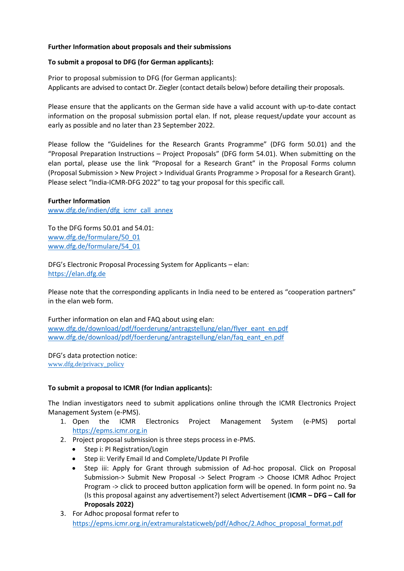# **Further Information about proposals and their submissions**

### **To submit a proposal to DFG (for German applicants):**

Prior to proposal submission to DFG (for German applicants): Applicants are advised to contact Dr. Ziegler (contact details below) before detailing their proposals.

Please ensure that the applicants on the German side have a valid account with up-to-date contact information on the proposal submission portal elan. If not, please request/update your account as early as possible and no later than 23 September 2022.

Please follow the "Guidelines for the Research Grants Programme" (DFG form 50.01) and the "Proposal Preparation Instructions – Project Proposals" (DFG form 54.01). When submitting on the elan portal, please use the link "Proposal for a Research Grant" in the Proposal Forms column (Proposal Submission > New Project > Individual Grants Programme > Proposal for a Research Grant). Please select "India-ICMR-DFG 2022" to tag your proposal for this specific call.

### **Further Information**

[www.dfg.de/indien/dfg\\_icmr\\_call\\_annex](http://www.dfg.de/indien/dfg_icmr_call_annex)

To the DFG forms 50.01 and 54.01: [www.dfg.de/formulare/50\\_01](http://www.dfg.de/formulare/50_01) [www.dfg.de/formulare/54\\_01](http://www.dfg.de/formulare/54_01)

DFG's Electronic Proposal Processing System for Applicants – elan: [https://elan.dfg.de](https://elan.dfg.de/)

Please note that the corresponding applicants in India need to be entered as "cooperation partners" in the elan web form.

Further information on elan and FAQ about using elan: [www.dfg.de/download/pdf/foerderung/antragstellung/elan/flyer\\_eant\\_en.pdf](http://www.dfg.de/download/pdf/foerderung/antragstellung/elan/flyer_eant_en.pdf) [www.dfg.de/download/pdf/foerderung/antragstellung/elan/faq\\_eant\\_en.pdf](http://www.dfg.de/download/pdf/foerderung/antragstellung/elan/faq_eant_en.pdf)

DFG's data protection notice: [www.dfg.de/privacy\\_policy](http://www.dfg.de/privacy_policy)

# **To submit a proposal to ICMR (for Indian applicants):**

The Indian investigators need to submit applications online through the ICMR Electronics Project Management System (e-PMS).

- 1. Open the ICMR Electronics Project Management System (e-PMS) portal [https://epms.icmr.org.in](https://epms.icmr.org.in/)
- 2. Project proposal submission is three steps process in e-PMS.
	- Step i: PI Registration/Login
	- Step ii: Verify Email Id and Complete/Update PI Profile
	- Step iii: Apply for Grant through submission of Ad-hoc proposal. Click on Proposal Submission-> Submit New Proposal -> Select Program -> Choose ICMR Adhoc Project Program -> click to proceed button application form will be opened. In form point no. 9a (Is this proposal against any advertisement?) select Advertisement (**ICMR – DFG – Call for Proposals 2022)**
- 3. For Adhoc proposal format refer to [https://epms.icmr.org.in/extramuralstaticweb/pdf/Adhoc/2.Adhoc\\_proposal\\_format.pdf](https://epms.icmr.org.in/extramuralstaticweb/pdf/Adhoc/2.Adhoc_proposal_format.pdf)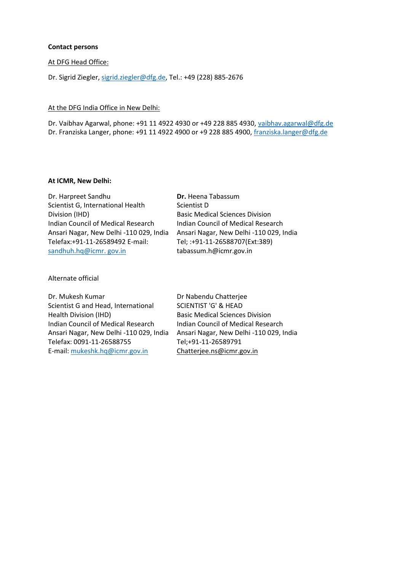#### **Contact persons**

#### At DFG Head Office:

Dr. Sigrid Ziegler[, sigrid.ziegler@dfg.de,](mailto:sigrid.ziegler@dfg.de) Tel.: +49 (228) 885-2676

### At the DFG India Office in New Delhi:

Dr. Vaibhav Agarwal, phone: +91 11 4922 4930 or +49 228 885 4930, [vaibhav.agarwal@dfg.de](mailto:vaibhav.agarwal@dfg.de) Dr. Franziska Langer, phone: +91 11 4922 4900 or +9 228 885 4900, [franziska.langer@dfg.de](mailto:franziska.langer@dfg.de)

#### **At ICMR, New Delhi:**

Dr. Harpreet Sandhu Scientist G, International Health Division (IHD) Indian Council of Medical Research Ansari Nagar, New Delhi -110 029, India Telefax:+91-11-26589492 E-mail: [sandhuh.hq@icmr.](mailto:sandhuh.hq@icmr.%20gov.in) gov.in

**Dr.** Heena Tabassum Scientist D Basic Medical Sciences Division Indian Council of Medical Research Ansari Nagar, New Delhi -110 029, India Tel; :+91-11-26588707(Ext:389) tabassum.h@icmr.gov.in

Alternate official

Dr. Mukesh Kumar Scientist G and Head, International Health Division (IHD) Indian Council of Medical Research Ansari Nagar, New Delhi -110 029, India Telefax: 0091-11-26588755 E-mail: [mukeshk.hq@icmr.gov.in](mailto:mukeshk.hq@icmr.gov.in)

Dr Nabendu Chatterjee SCIENTIST 'G' & HEAD Basic Medical Sciences Division Indian Council of Medical Research Ansari Nagar, New Delhi -110 029, India Tel;+91-11-26589791 [Chatterjee.ns@icmr.gov.in](mailto:Chatterjee.ns@icmr.gov.in)